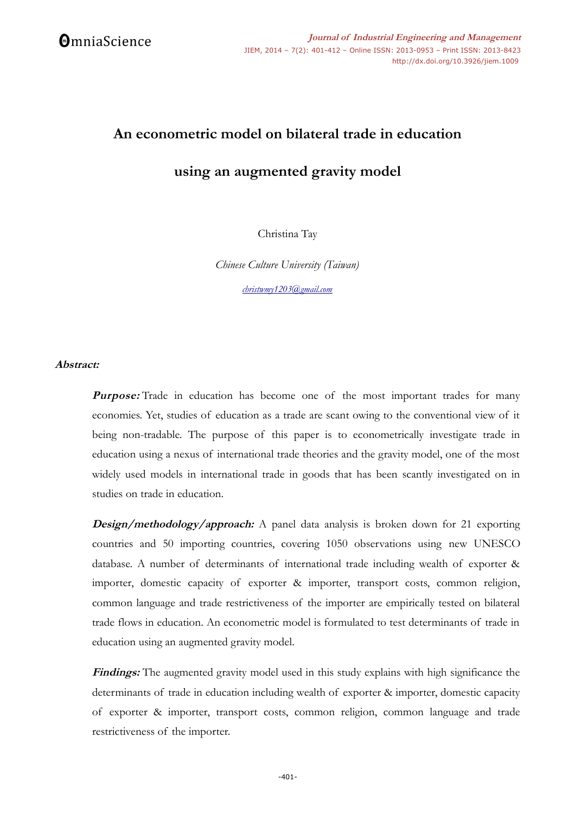# **An econometric model on bilateral trade in education**

**using an augmented gravity model**

Christina Tay

*Chinese Culture University (Taiwan) [christwmy1203@gmail.com](mailto:christwmy1203@gmail.com)*

**Abstract:**

**Purpose:** Trade in education has become one of the most important trades for many economies. Yet, studies of education as a trade are scant owing to the conventional view of it being non-tradable. The purpose of this paper is to econometrically investigate trade in education using a nexus of international trade theories and the gravity model, one of the most widely used models in international trade in goods that has been scantly investigated on in studies on trade in education.

**Design/methodology/approach:** A panel data analysis is broken down for 21 exporting countries and 50 importing countries, covering 1050 observations using new UNESCO database. A number of determinants of international trade including wealth of exporter & importer, domestic capacity of exporter & importer, transport costs, common religion, common language and trade restrictiveness of the importer are empirically tested on bilateral trade flows in education. An econometric model is formulated to test determinants of trade in education using an augmented gravity model.

**Findings:** The augmented gravity model used in this study explains with high significance the determinants of trade in education including wealth of exporter & importer, domestic capacity of exporter & importer, transport costs, common religion, common language and trade restrictiveness of the importer.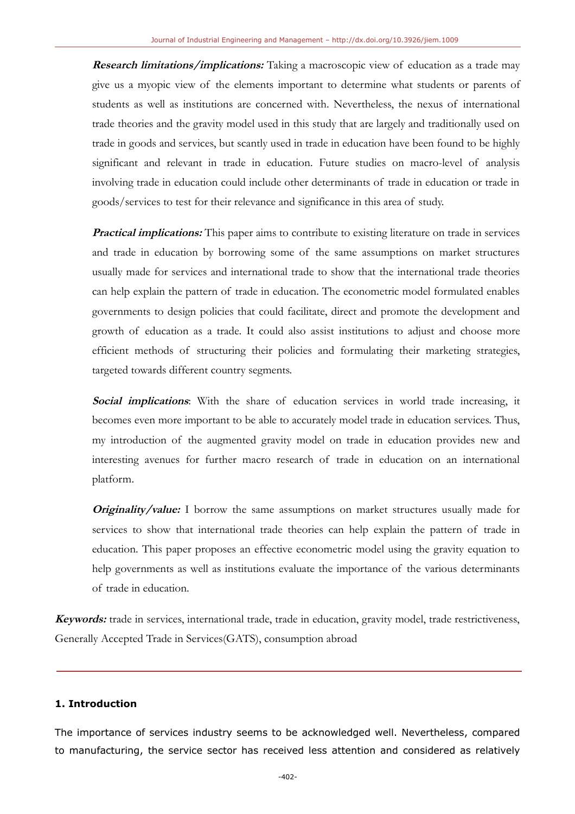**Research limitations/implications:** Taking a macroscopic view of education as a trade may give us a myopic view of the elements important to determine what students or parents of students as well as institutions are concerned with. Nevertheless, the nexus of international trade theories and the gravity model used in this study that are largely and traditionally used on trade in goods and services, but scantly used in trade in education have been found to be highly significant and relevant in trade in education. Future studies on macro-level of analysis involving trade in education could include other determinants of trade in education or trade in goods/services to test for their relevance and significance in this area of study.

**Practical implications:** This paper aims to contribute to existing literature on trade in services and trade in education by borrowing some of the same assumptions on market structures usually made for services and international trade to show that the international trade theories can help explain the pattern of trade in education. The econometric model formulated enables governments to design policies that could facilitate, direct and promote the development and growth of education as a trade. It could also assist institutions to adjust and choose more efficient methods of structuring their policies and formulating their marketing strategies, targeted towards different country segments.

**Social implications:** With the share of education services in world trade increasing, it becomes even more important to be able to accurately model trade in education services. Thus, my introduction of the augmented gravity model on trade in education provides new and interesting avenues for further macro research of trade in education on an international platform.

**Originality/value:** I borrow the same assumptions on market structures usually made for services to show that international trade theories can help explain the pattern of trade in education. This paper proposes an effective econometric model using the gravity equation to help governments as well as institutions evaluate the importance of the various determinants of trade in education.

**Keywords:** trade in services, international trade, trade in education, gravity model, trade restrictiveness, Generally Accepted Trade in Services(GATS), consumption abroad

# **1. Introduction**

The importance of services industry seems to be acknowledged well. Nevertheless, compared to manufacturing, the service sector has received less attention and considered as relatively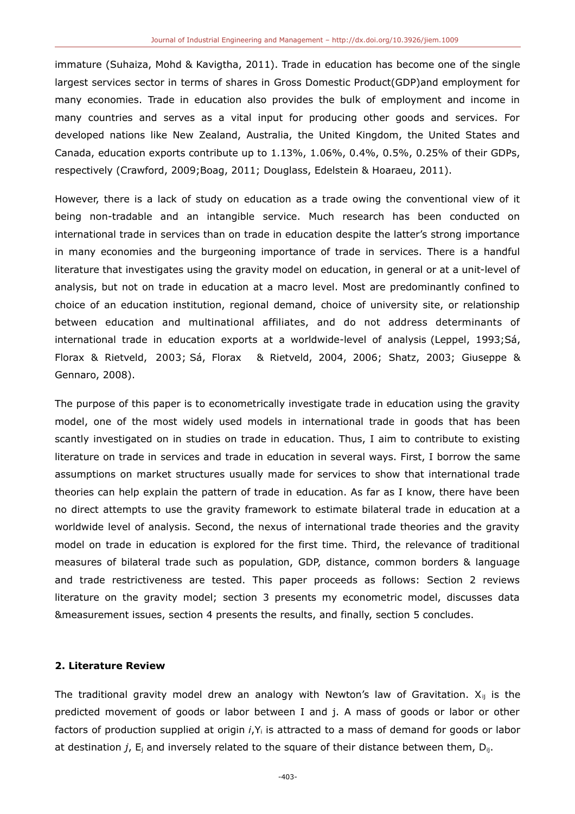immature (Suhaiza, Mohd & Kavigtha, 2011). Trade in education has become one of the single largest services sector in terms of shares in Gross Domestic Product(GDP)and employment for many economies. Trade in education also provides the bulk of employment and income in many countries and serves as a vital input for producing other goods and services. For developed nations like New Zealand, Australia, the United Kingdom, the United States and Canada, education exports contribute up to 1.13%, 1.06%, 0.4%, 0.5%, 0.25% of their GDPs, respectively (Crawford, 2009;Boag, 2011; Douglass, Edelstein & Hoaraeu, 2011).

However, there is a lack of study on education as a trade owing the conventional view of it being non-tradable and an intangible service. Much research has been conducted on international trade in services than on trade in education despite the latter's strong importance in many economies and the burgeoning importance of trade in services. There is a handful literature that investigates using the gravity model on education, in general or at a unit-level of analysis, but not on trade in education at a macro level. Most are predominantly confined to choice of an education institution, regional demand, choice of university site, or relationship between education and multinational affiliates, and do not address determinants of international trade in education exports at a worldwide-level of analysis (Leppel, 1993;Sá, Florax & Rietveld, 2003; Sá, Florax & Rietveld, 2004, 2006; Shatz, 2003; Giuseppe & Gennaro, 2008).

The purpose of this paper is to econometrically investigate trade in education using the gravity model, one of the most widely used models in international trade in goods that has been scantly investigated on in studies on trade in education. Thus, I aim to contribute to existing literature on trade in services and trade in education in several ways. First, I borrow the same assumptions on market structures usually made for services to show that international trade theories can help explain the pattern of trade in education. As far as I know, there have been no direct attempts to use the gravity framework to estimate bilateral trade in education at a worldwide level of analysis. Second, the nexus of international trade theories and the gravity model on trade in education is explored for the first time. Third, the relevance of traditional measures of bilateral trade such as population, GDP, distance, common borders & language and trade restrictiveness are tested. This paper proceeds as follows: Section 2 reviews literature on the gravity model; section 3 presents my econometric model, discusses data &measurement issues, section 4 presents the results, and finally, section 5 concludes.

## **2. Literature Review**

The traditional gravity model drew an analogy with Newton's law of Gravitation.  $X_{ii}$  is the predicted movement of goods or labor between I and j. A mass of goods or labor or other factors of production supplied at origin *i*,Yi is attracted to a mass of demand for goods or labor at destination  $j$ ,  $E_i$  and inversely related to the square of their distance between them,  $D_{ii}$ .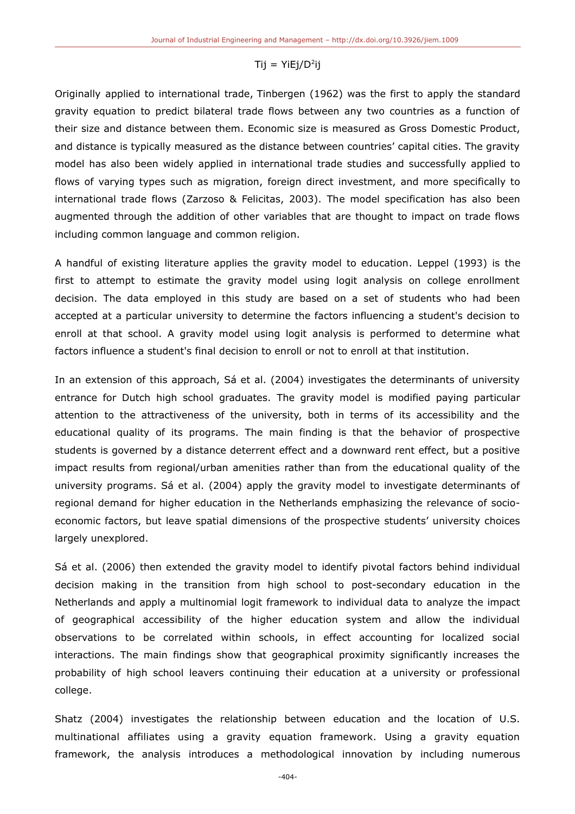## Tij = YiEj/D<sup>2</sup>ij

Originally applied to international trade, Tinbergen (1962) was the first to apply the standard gravity equation to predict bilateral trade flows between any two countries as a function of their size and distance between them. Economic size is measured as Gross Domestic Product, and distance is typically measured as the distance between countries' capital cities. The gravity model has also been widely applied in international trade studies and successfully applied to flows of varying types such as migration, foreign direct investment, and more specifically to international trade flows (Zarzoso & Felicitas, 2003). The model specification has also been augmented through the addition of other variables that are thought to impact on trade flows including common language and common religion.

A handful of existing literature applies the gravity model to education. Leppel (1993) is the first to attempt to estimate the gravity model using logit analysis on college enrollment decision. The data employed in this study are based on a set of students who had been accepted at a particular university to determine the factors influencing a student's decision to enroll at that school. A gravity model using logit analysis is performed to determine what factors influence a student's final decision to enroll or not to enroll at that institution.

In an extension of this approach, Sá et al. (2004) investigates the determinants of university entrance for Dutch high school graduates. The gravity model is modified paying particular attention to the attractiveness of the university, both in terms of its accessibility and the educational quality of its programs. The main finding is that the behavior of prospective students is governed by a distance deterrent effect and a downward rent effect, but a positive impact results from regional/urban amenities rather than from the educational quality of the university programs. Sá et al. (2004) apply the gravity model to investigate determinants of regional demand for higher education in the Netherlands emphasizing the relevance of socioeconomic factors, but leave spatial dimensions of the prospective students' university choices largely unexplored.

Sá et al. (2006) then extended the gravity model to identify pivotal factors behind individual decision making in the transition from high school to post-secondary education in the Netherlands and apply a multinomial logit framework to individual data to analyze the impact of geographical accessibility of the higher education system and allow the individual observations to be correlated within schools, in effect accounting for localized social interactions. The main findings show that geographical proximity significantly increases the probability of high school leavers continuing their education at a university or professional college.

Shatz (2004) investigates the relationship between education and the location of U.S. multinational affiliates using a gravity equation framework. Using a gravity equation framework, the analysis introduces a methodological innovation by including numerous

-404-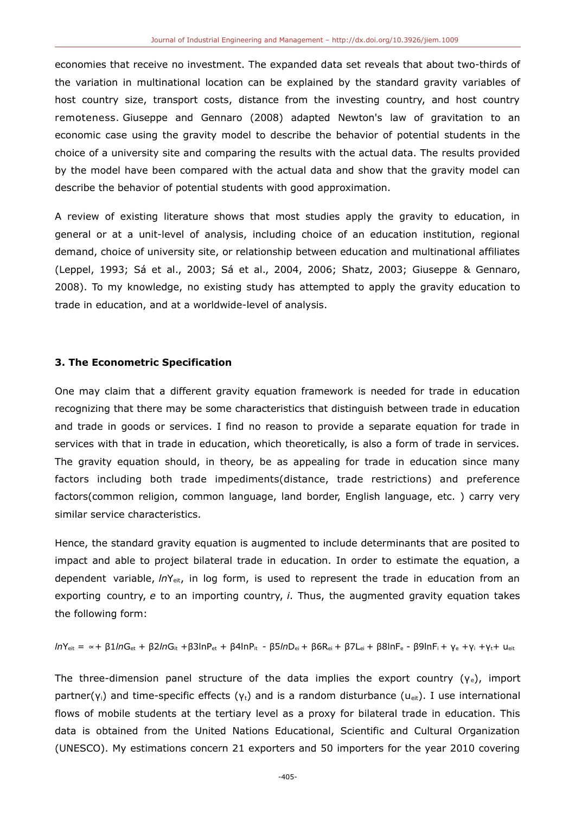economies that receive no investment. The expanded data set reveals that about two-thirds of the variation in multinational location can be explained by the standard gravity variables of host country size, transport costs, distance from the investing country, and host country remoteness. Giuseppe and Gennaro (2008) adapted Newton's law of gravitation to an economic case using the gravity model to describe the behavior of potential students in the choice of a university site and comparing the results with the actual data. The results provided by the model have been compared with the actual data and show that the gravity model can describe the behavior of potential students with good approximation.

A review of existing literature shows that most studies apply the gravity to education, in general or at a unit-level of analysis, including choice of an education institution, regional demand, choice of university site, or relationship between education and multinational affiliates (Leppel, 1993; Sá et al., 2003; Sá et al., 2004, 2006; Shatz, 2003; Giuseppe & Gennaro, 2008). To my knowledge, no existing study has attempted to apply the gravity education to trade in education, and at a worldwide-level of analysis.

### **3. The Econometric Specification**

One may claim that a different gravity equation framework is needed for trade in education recognizing that there may be some characteristics that distinguish between trade in education and trade in goods or services. I find no reason to provide a separate equation for trade in services with that in trade in education, which theoretically, is also a form of trade in services. The gravity equation should, in theory, be as appealing for trade in education since many factors including both trade impediments(distance, trade restrictions) and preference factors(common religion, common language, land border, English language, etc. ) carry very similar service characteristics.

Hence, the standard gravity equation is augmented to include determinants that are posited to impact and able to project bilateral trade in education. In order to estimate the equation, a dependent variable, *lnY<sub>eit</sub>*, in log form, is used to represent the trade in education from an exporting country, *e* to an importing country, *i*. Thus, the augmented gravity equation takes the following form:

$$
\textit{InY}_{eit} = \text{A} + \beta 1 \textit{InG}_{et} + \beta 2 \textit{InG}_{it} + \beta 3 \textit{InP}_{et} + \beta 4 \textit{InP}_{it} - \beta 5 \textit{InD}_{ei} + \beta 6 R_{ei} + \beta 7 L_{ei} + \beta 8 \textit{InF}_{e} - \beta 9 \textit{InF}_{i} + \gamma_{e} + \gamma_{i} + \gamma_{t} + u_{eit}
$$

The three-dimension panel structure of the data implies the export country  $(\gamma_e)$ , import partner(γi) and time-specific effects (γt) and is a random disturbance (u<sub>eit</sub>). I use international flows of mobile students at the tertiary level as a proxy for bilateral trade in education. This data is obtained from the United Nations Educational, Scientific and Cultural Organization (UNESCO). My estimations concern 21 exporters and 50 importers for the year 2010 covering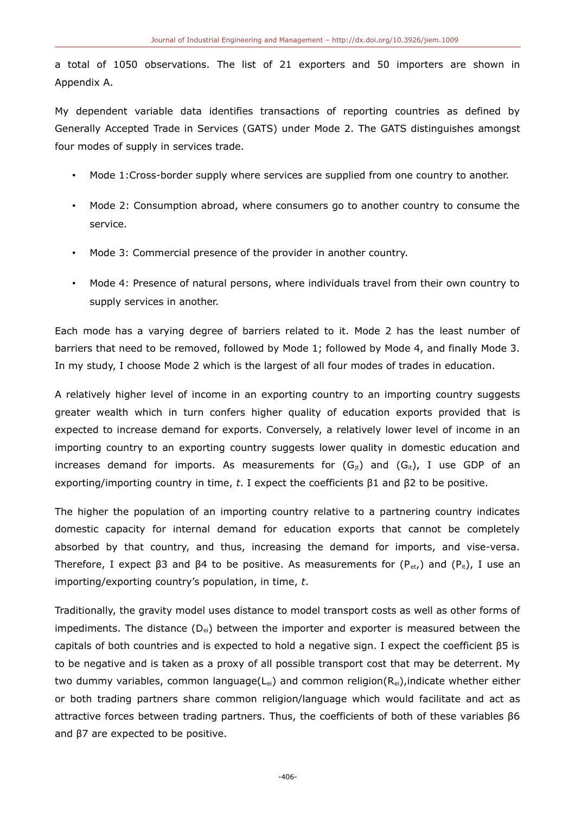a total of 1050 observations. The list of 21 exporters and 50 importers are shown in Appendix A.

My dependent variable data identifies transactions of reporting countries as defined by Generally Accepted Trade in Services (GATS) under Mode 2. The GATS distinguishes amongst four modes of supply in services trade.

- Mode 1:Cross-border supply where services are supplied from one country to another.
- Mode 2: Consumption abroad, where consumers go to another country to consume the service.
- Mode 3: Commercial presence of the provider in another country.
- Mode 4: Presence of natural persons, where individuals travel from their own country to supply services in another.

Each mode has a varying degree of barriers related to it. Mode 2 has the least number of barriers that need to be removed, followed by Mode 1; followed by Mode 4, and finally Mode 3. In my study, I choose Mode 2 which is the largest of all four modes of trades in education.

A relatively higher level of income in an exporting country to an importing country suggests greater wealth which in turn confers higher quality of education exports provided that is expected to increase demand for exports. Conversely, a relatively lower level of income in an importing country to an exporting country suggests lower quality in domestic education and increases demand for imports. As measurements for  $(G_{it})$  and  $(G_{it})$ , I use GDP of an exporting/importing country in time, *t*. I expect the coefficients β1 and β2 to be positive.

The higher the population of an importing country relative to a partnering country indicates domestic capacity for internal demand for education exports that cannot be completely absorbed by that country, and thus, increasing the demand for imports, and vise-versa. Therefore, I expect  $\beta$ 3 and  $\beta$ 4 to be positive. As measurements for (P<sub>et</sub>,) and (P<sub>it</sub>), I use an importing/exporting country's population, in time, *t*.

Traditionally, the gravity model uses distance to model transport costs as well as other forms of impediments. The distance  $(D_{ei})$  between the importer and exporter is measured between the capitals of both countries and is expected to hold a negative sign. I expect the coefficient β5 is to be negative and is taken as a proxy of all possible transport cost that may be deterrent. My two dummy variables, common language( $L_{ei}$ ) and common religion( $R_{ei}$ ), indicate whether either or both trading partners share common religion/language which would facilitate and act as attractive forces between trading partners. Thus, the coefficients of both of these variables β6 and β7 are expected to be positive.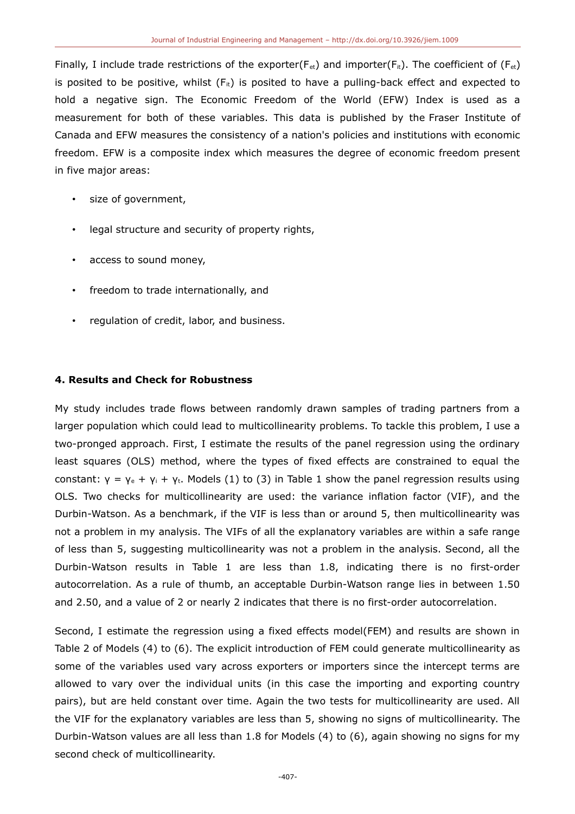Finally, I include trade restrictions of the exporter( $F_{et}$ ) and importer( $F_{it}$ ). The coefficient of ( $F_{et}$ ) is posited to be positive, whilst  $(F_{it})$  is posited to have a pulling-back effect and expected to hold a negative sign. The Economic Freedom of the World (EFW) Index is used as a measurement for both of these variables. This data is published by the Fraser Institute of Canada and EFW measures the consistency of a nation's policies and institutions with economic freedom. EFW is a composite index which measures the degree of economic freedom present in five major areas:

- size of government,
- legal structure and security of property rights,
- access to sound money,
- freedom to trade internationally, and
- regulation of credit, labor, and business.

### **4. Results and Check for Robustness**

My study includes trade flows between randomly drawn samples of trading partners from a larger population which could lead to multicollinearity problems. To tackle this problem, I use a two-pronged approach. First, I estimate the results of the panel regression using the ordinary least squares (OLS) method, where the types of fixed effects are constrained to equal the constant:  $\gamma = \gamma_e + \gamma_i + \gamma_t$ . Models (1) to (3) in Table 1 show the panel regression results using OLS. Two checks for multicollinearity are used: the variance inflation factor (VIF), and the Durbin-Watson. As a benchmark, if the VIF is less than or around 5, then multicollinearity was not a problem in my analysis. The VIFs of all the explanatory variables are within a safe range of less than 5, suggesting multicollinearity was not a problem in the analysis. Second, all the Durbin-Watson results in Table 1 are less than 1.8, indicating there is no first-order autocorrelation. As a rule of thumb, an acceptable Durbin-Watson range lies in between 1.50 and 2.50, and a value of 2 or nearly 2 indicates that there is no first-order autocorrelation.

Second, I estimate the regression using a fixed effects model(FEM) and results are shown in Table 2 of Models (4) to (6). The explicit introduction of FEM could generate multicollinearity as some of the variables used vary across exporters or importers since the intercept terms are allowed to vary over the individual units (in this case the importing and exporting country pairs), but are held constant over time. Again the two tests for multicollinearity are used. All the VIF for the explanatory variables are less than 5, showing no signs of multicollinearity. The Durbin-Watson values are all less than 1.8 for Models (4) to (6), again showing no signs for my second check of multicollinearity.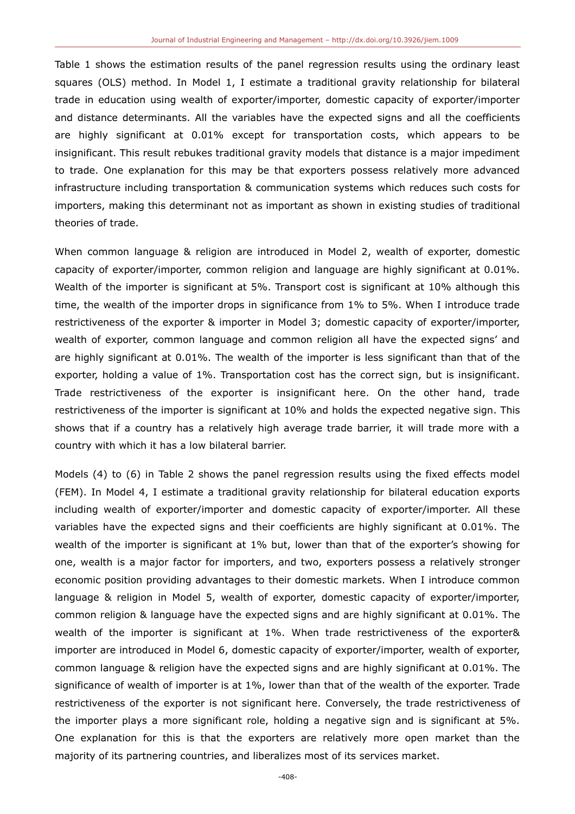Table 1 shows the estimation results of the panel regression results using the ordinary least squares (OLS) method. In Model 1, I estimate a traditional gravity relationship for bilateral trade in education using wealth of exporter/importer, domestic capacity of exporter/importer and distance determinants. All the variables have the expected signs and all the coefficients are highly significant at 0.01% except for transportation costs, which appears to be insignificant. This result rebukes traditional gravity models that distance is a major impediment to trade. One explanation for this may be that exporters possess relatively more advanced infrastructure including transportation & communication systems which reduces such costs for importers, making this determinant not as important as shown in existing studies of traditional theories of trade.

When common language & religion are introduced in Model 2, wealth of exporter, domestic capacity of exporter/importer, common religion and language are highly significant at 0.01%. Wealth of the importer is significant at 5%. Transport cost is significant at 10% although this time, the wealth of the importer drops in significance from 1% to 5%. When I introduce trade restrictiveness of the exporter & importer in Model 3; domestic capacity of exporter/importer, wealth of exporter, common language and common religion all have the expected signs' and are highly significant at 0.01%. The wealth of the importer is less significant than that of the exporter, holding a value of 1%. Transportation cost has the correct sign, but is insignificant. Trade restrictiveness of the exporter is insignificant here. On the other hand, trade restrictiveness of the importer is significant at 10% and holds the expected negative sign. This shows that if a country has a relatively high average trade barrier, it will trade more with a country with which it has a low bilateral barrier.

Models (4) to (6) in Table 2 shows the panel regression results using the fixed effects model (FEM). In Model 4, I estimate a traditional gravity relationship for bilateral education exports including wealth of exporter/importer and domestic capacity of exporter/importer. All these variables have the expected signs and their coefficients are highly significant at 0.01%. The wealth of the importer is significant at 1% but, lower than that of the exporter's showing for one, wealth is a major factor for importers, and two, exporters possess a relatively stronger economic position providing advantages to their domestic markets. When I introduce common language & religion in Model 5, wealth of exporter, domestic capacity of exporter/importer, common religion & language have the expected signs and are highly significant at 0.01%. The wealth of the importer is significant at 1%. When trade restrictiveness of the exporter& importer are introduced in Model 6, domestic capacity of exporter/importer, wealth of exporter, common language & religion have the expected signs and are highly significant at 0.01%. The significance of wealth of importer is at 1%, lower than that of the wealth of the exporter. Trade restrictiveness of the exporter is not significant here. Conversely, the trade restrictiveness of the importer plays a more significant role, holding a negative sign and is significant at 5%. One explanation for this is that the exporters are relatively more open market than the majority of its partnering countries, and liberalizes most of its services market.

-408-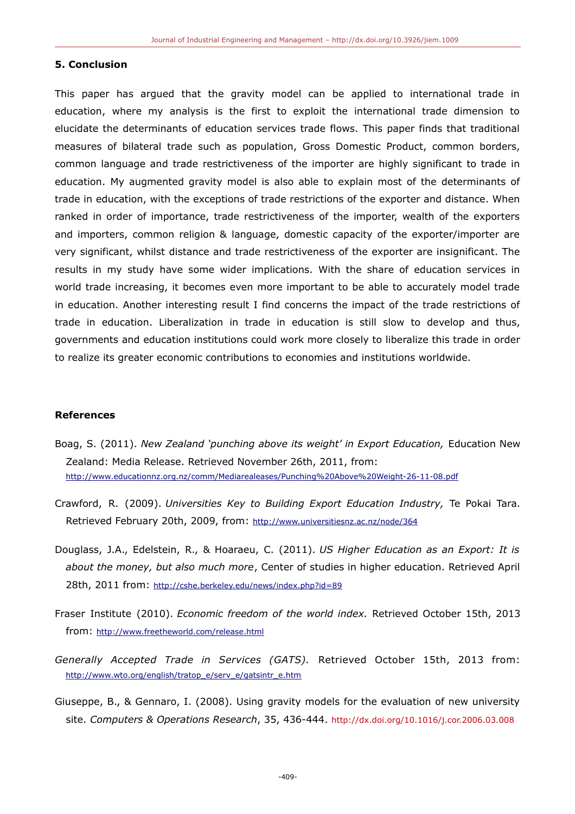## **5. Conclusion**

This paper has argued that the gravity model can be applied to international trade in education, where my analysis is the first to exploit the international trade dimension to elucidate the determinants of education services trade flows. This paper finds that traditional measures of bilateral trade such as population, Gross Domestic Product, common borders, common language and trade restrictiveness of the importer are highly significant to trade in education. My augmented gravity model is also able to explain most of the determinants of trade in education, with the exceptions of trade restrictions of the exporter and distance. When ranked in order of importance, trade restrictiveness of the importer, wealth of the exporters and importers, common religion & language, domestic capacity of the exporter/importer are very significant, whilst distance and trade restrictiveness of the exporter are insignificant. The results in my study have some wider implications. With the share of education services in world trade increasing, it becomes even more important to be able to accurately model trade in education. Another interesting result I find concerns the impact of the trade restrictions of trade in education. Liberalization in trade in education is still slow to develop and thus, governments and education institutions could work more closely to liberalize this trade in order to realize its greater economic contributions to economies and institutions worldwide.

## **References**

- Boag, S. (2011). *New Zealand 'punching above its weight' in Export Education,* Education New Zealand: Media Release. Retrieved November 26th, 2011, from: <http://www.educationnz.org.nz/comm/Mediarealeases/Punching%20Above%20Weight-26-11-08.pdf>
- Crawford, R. (2009). *Universities Key to Building Export Education Industry,* Te Pokai Tara. Retrieved February 20th, 2009, from: <http://www.universitiesnz.ac.nz/node/364>
- Douglass, J.A., Edelstein, R., & Hoaraeu, C. (2011). *US Higher Education as an Export: It is about the money, but also much more*, Center of studies in higher education. Retrieved April 28th, 2011 from: <http://cshe.berkeley.edu/news/index.php?id=89>
- Fraser Institute (2010). *Economic freedom of the world index.* Retrieved October 15th, 2013 from: <http://www.freetheworld.com/release.html>
- *Generally Accepted Trade in Services (GATS).* Retrieved October 15th, 2013 from: [http://www.wto.org/english/tratop\\_e/serv\\_e/gatsintr\\_e.htm](http://www.wto.org/english/tratop_e/serv_e/gatsintr_e.htm)
- Giuseppe, B., & Gennaro, I. (2008). Using gravity models for the evaluation of new university site. *Computers & Operations Research*, 35, 436-444. <http://dx.doi.org/10.1016/j.cor.2006.03.008>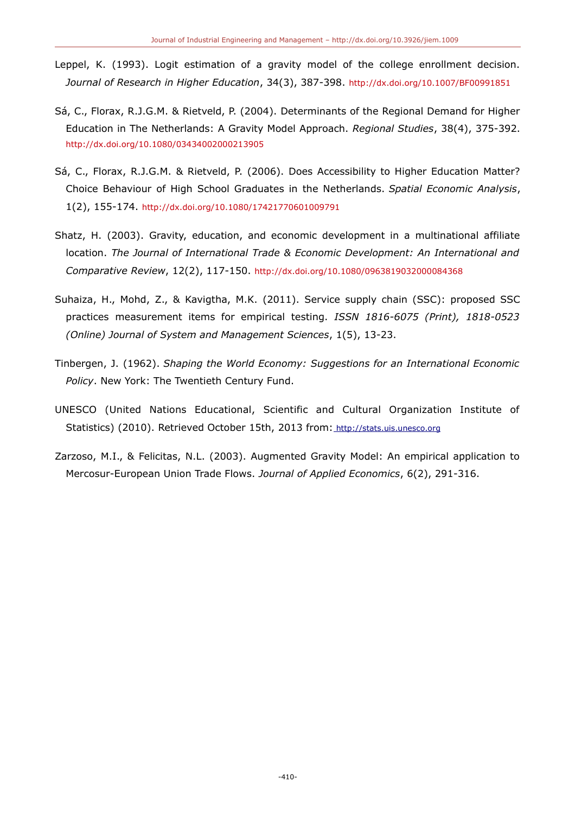- Leppel, K. (1993). Logit estimation of a gravity model of the college enrollment decision. *Journal of Research in Higher Education*, 34(3), 387-398. <http://dx.doi.org/10.1007/BF00991851>
- Sá, C., Florax, R.J.G.M. & Rietveld, P. (2004). Determinants of the Regional Demand for Higher Education in The Netherlands: A Gravity Model Approach. *Regional Studies*, 38(4), 375-392. <http://dx.doi.org/10.1080/03434002000213905>
- Sá, C., Florax, R.J.G.M. & Rietveld, P. (2006). Does Accessibility to Higher Education Matter? Choice Behaviour of High School Graduates in the Netherlands. *Spatial Economic Analysis*, 1(2), 155-174. <http://dx.doi.org/10.1080/17421770601009791>
- Shatz, H. (2003). Gravity, education, and economic development in a multinational affiliate location. *The Journal of International Trade & Economic Development: An International and Comparative Review*, 12(2), 117-150. <http://dx.doi.org/10.1080/0963819032000084368>
- Suhaiza, H., Mohd, Z., & Kavigtha, M.K. (2011). Service supply chain (SSC): proposed SSC practices measurement items for empirical testing. *ISSN 1816-6075 (Print), 1818-0523 (Online) Journal of System and Management Sciences*, 1(5), 13-23.
- Tinbergen, J. (1962). *Shaping the World Economy: Suggestions for an International Economic Policy*. New York: The Twentieth Century Fund.
- UNESCO (United Nations Educational, Scientific and Cultural Organization Institute of Statistics) (2010). Retrieved October 15th, 2013 from: [http://stats.uis.unesco.org](http://stats.uis.unesco.org/)
- Zarzoso, M.I., & Felicitas, N.L. (2003). Augmented Gravity Model: An empirical application to Mercosur-European Union Trade Flows. *Journal of Applied Economics*, 6(2), 291-316.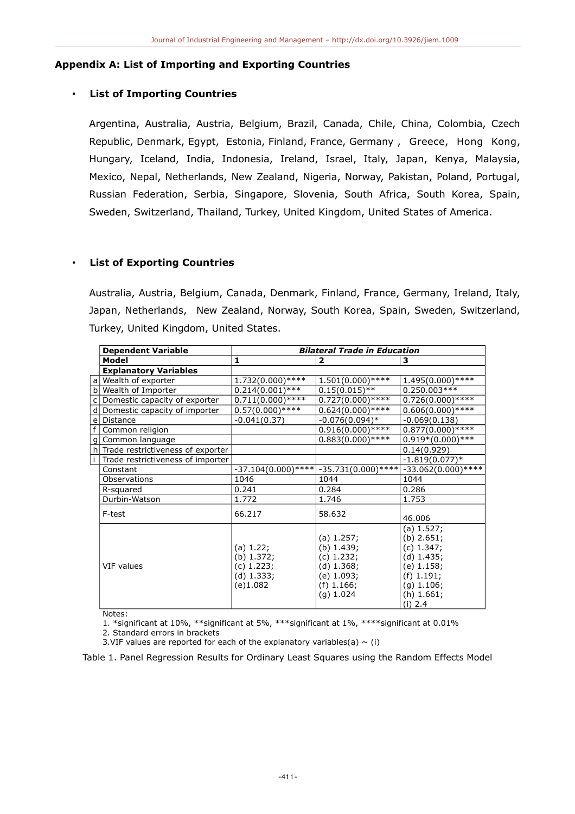# **Appendix A: List of Importing and Exporting Countries**

# • **List of Importing Countries**

Argentina, Australia, Austria, Belgium, Brazil, Canada, Chile, China, Colombia, Czech Republic, Denmark, Egypt, Estonia, Finland, France, Germany , Greece, Hong Kong, Hungary, Iceland, India, Indonesia, Ireland, Israel, Italy, Japan, Kenya, Malaysia, Mexico, Nepal, Netherlands, New Zealand, Nigeria, Norway, Pakistan, Poland, Portugal, Russian Federation, Serbia, Singapore, Slovenia, South Africa, South Korea, Spain, Sweden, Switzerland, Thailand, Turkey, United Kingdom, United States of America.

# • **List of Exporting Countries**

Australia, Austria, Belgium, Canada, Denmark, Finland, France, Germany, Ireland, Italy, Japan, Netherlands, New Zealand, Norway, South Korea, Spain, Sweden, Switzerland, Turkey, United Kingdom, United States.

|             | <b>Dependent Variable</b>           | <b>Bilateral Trade in Education</b>                               |                                                                                                         |                                                                                                                                       |  |
|-------------|-------------------------------------|-------------------------------------------------------------------|---------------------------------------------------------------------------------------------------------|---------------------------------------------------------------------------------------------------------------------------------------|--|
|             | <b>Model</b>                        | $\mathbf{1}$                                                      | $\overline{\mathbf{2}}$                                                                                 | з                                                                                                                                     |  |
|             | <b>Explanatory Variables</b>        |                                                                   |                                                                                                         |                                                                                                                                       |  |
|             | a Wealth of exporter                | $1.732(0.000)****$                                                | $1.501(0.000)$ ****                                                                                     | $1.495(0.000)****$                                                                                                                    |  |
|             | b Wealth of Importer                | $0.214(0.001)$ ***                                                | $0.15(0.015)$ **                                                                                        | $0.250.003***$                                                                                                                        |  |
|             | c Domestic capacity of exporter     | $0.711(0.000)****$                                                | $0.727(0.000)****$                                                                                      | $0.726(0.000)$ ****                                                                                                                   |  |
|             | d Domestic capacity of importer     | $0.57(0.000)$ ****                                                | $0.624(0.000)****$                                                                                      | $0.606(0.000)$ ****                                                                                                                   |  |
|             | e   Distance                        | $-0.041(0.37)$                                                    | $-0.076(0.094)$ *                                                                                       | $-0.069(0.138)$                                                                                                                       |  |
| $\mathsf f$ | Common religion                     |                                                                   | $0.916(0.000)$ ****                                                                                     | $0.877(0.000)$ ****                                                                                                                   |  |
|             | g   Common language                 |                                                                   | $0.883(0.000)****$                                                                                      | $0.919*(0.000)***$                                                                                                                    |  |
|             | h Trade restrictiveness of exporter |                                                                   |                                                                                                         | 0.14(0.929)                                                                                                                           |  |
|             | i Trade restrictiveness of importer |                                                                   |                                                                                                         | $-1.819(0.077)*$                                                                                                                      |  |
|             | Constant                            | $-37.104(0.000)****$                                              | $-35.731(0.000)****$                                                                                    | $-33.062(0.000)****$                                                                                                                  |  |
|             | Observations                        | 1046                                                              | 1044                                                                                                    | 1044                                                                                                                                  |  |
|             | R-squared                           | 0.241                                                             | 0.284                                                                                                   | 0.286                                                                                                                                 |  |
|             | Durbin-Watson                       | 1.772                                                             | 1.746                                                                                                   | 1.753                                                                                                                                 |  |
|             | F-test                              | 66.217                                                            | 58.632                                                                                                  | 46.006                                                                                                                                |  |
|             | VIF values                          | (a) 1.22;<br>(b) 1.372;<br>(c) 1.223;<br>$(d)$ 1.333;<br>(e)1.082 | (a) 1.257;<br>(b) $1.439;$<br>$(c)$ 1.232;<br>$(d)$ 1.368;<br>(e) 1.093;<br>$(f)$ 1.166;<br>$(q)$ 1.024 | (a) 1.527;<br>$(b)$ 2.651;<br>$(c)$ 1.347;<br>$(d)$ 1.435;<br>$(e)$ 1.158;<br>$(f)$ 1.191;<br>$(q)$ 1.106;<br>$(h)$ 1.661;<br>(i) 2.4 |  |

Notes:

1. \*significant at 10%, \*\*significant at 5%, \*\*\*significant at 1%, \*\*\*\*significant at 0.01%

2. Standard errors in brackets

3.VIF values are reported for each of the explanatory variables(a)  $\sim$  (i)

Table 1. Panel Regression Results for Ordinary Least Squares using the Random Effects Model